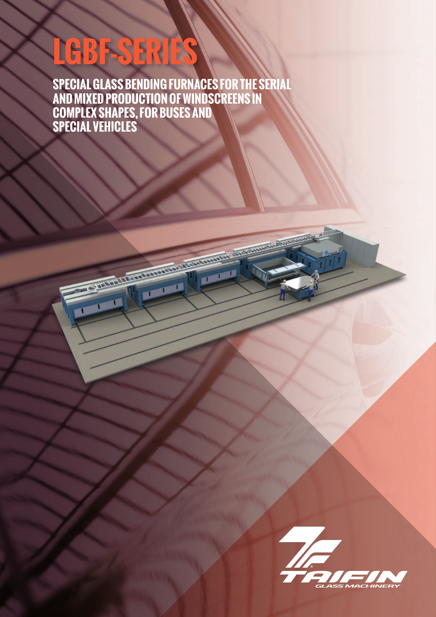# LGBF-SERIES

**SPECIAL GLASS BENDING FURNACES FOR THE SERIAL AND MIXED PRODUCTION OF WINDSCREENS IN COMPLEX SHAPES, FOR BUSES AND SPECIAL VEHICLES**

**Contraction of the Contraction of the Contraction of the Contraction of the Contraction of the Contraction of the Contraction of the Contraction of the Contraction of the Contraction of the Contraction of the Contraction** 

n.